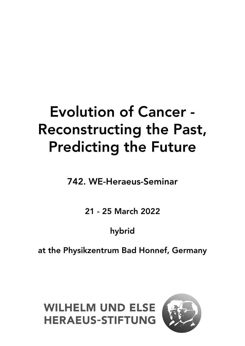# Evolution of Cancer - Reconstructing the Past, Predicting the Future

742. WE-Heraeus-Seminar

21 - 25 March 2022

## hybrid

at the Physikzentrum Bad Honnef, Germany

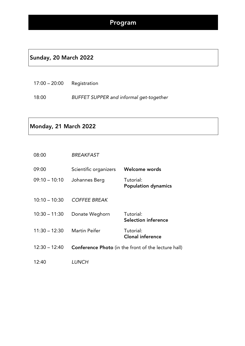#### Sunday, 20 March 2022

| $17:00 - 20:00$ | Registration |
|-----------------|--------------|
|                 |              |

18:00 *BUFFET SUPPER and informal get-together*

#### Monday, 21 March 2022

| 08:00           | <b>BREAKFAST</b>      |                                                            |
|-----------------|-----------------------|------------------------------------------------------------|
| 09:00           | Scientific organizers | Welcome words                                              |
| $09:10 - 10:10$ | Johannes Berg         | Tutorial:<br><b>Population dynamics</b>                    |
| $10:10 - 10:30$ | <b>COFFEE BREAK</b>   |                                                            |
| $10:30 - 11:30$ | Donate Weghorn        | Tutorial:<br><b>Selection inference</b>                    |
| $11:30 - 12:30$ | Martin Peifer         | Tutorial:<br><b>Clonal inference</b>                       |
| $12:30 - 12:40$ |                       | <b>Conference Photo</b> (in the front of the lecture hall) |
| 12:40           | LUNCH                 |                                                            |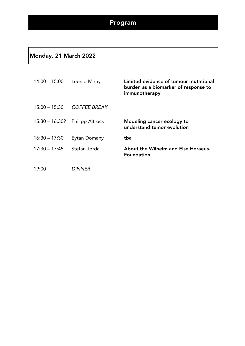#### Monday, 21 March 2022

| $14:00 - 15:00$  | Leonid Mirny           | Limited evidence of tumour mutational<br>burden as a biomarker of response to<br>immunotherapy |
|------------------|------------------------|------------------------------------------------------------------------------------------------|
| $15:00 - 15:30$  | <b>COFFEE BREAK</b>    |                                                                                                |
| $15:30 - 16:30?$ | <b>Philipp Altrock</b> | Modeling cancer ecology to<br>understand tumor evolution                                       |
| $16:30 - 17:30$  | Eytan Domany           | tba                                                                                            |
| $17:30 - 17:45$  | Stefan Jorda           | About the Wilhelm and Else Heraeus-<br><b>Foundation</b>                                       |

19:00 *DINNER*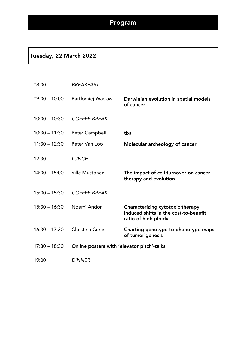#### Tuesday, 22 March 2022

| 08:00           | <b>BREAKFAST</b>                           |                                                                                                   |
|-----------------|--------------------------------------------|---------------------------------------------------------------------------------------------------|
| $09:00 - 10:00$ | Bartlomiej Waclaw                          | Darwinian evolution in spatial models<br>of cancer                                                |
| $10:00 - 10:30$ | <b>COFFEE BREAK</b>                        |                                                                                                   |
| $10:30 - 11:30$ | Peter Campbell                             | tba                                                                                               |
| $11:30 - 12:30$ | Peter Van Loo                              | Molecular archeology of cancer                                                                    |
| 12:30           | <b>LUNCH</b>                               |                                                                                                   |
| $14:00 - 15:00$ | <b>Ville Mustonen</b>                      | The impact of cell turnover on cancer<br>therapy and evolution                                    |
| $15:00 - 15:30$ | <b>COFFEE BREAK</b>                        |                                                                                                   |
| $15:30 - 16:30$ | Noemi Andor                                | Characterizing cytotoxic therapy<br>induced shifts in the cost-to-benefit<br>ratio of high ploidy |
| $16:30 - 17:30$ | Christina Curtis                           | Charting genotype to phenotype maps<br>of tumorigenesis                                           |
| $17:30 - 18:30$ | Online posters with 'elevator pitch'-talks |                                                                                                   |
| 19:00           | <b>DINNER</b>                              |                                                                                                   |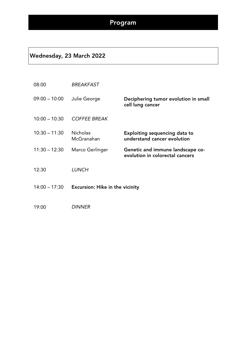#### Wednesday, 23 March 2022

| 08:00           | <b>BREAKFAST</b>                       |                                                                     |
|-----------------|----------------------------------------|---------------------------------------------------------------------|
| $09:00 - 10:00$ | Julie George                           | Deciphering tumor evolution in small<br>cell lung cancer            |
| $10:00 - 10:30$ | <b>COFFEE BREAK</b>                    |                                                                     |
| $10:30 - 11:30$ | <b>Nicholas</b><br>McGranahan          | <b>Exploiting sequencing data to</b><br>understand cancer evolution |
| $11:30 - 12:30$ | Marco Gerlinger                        | Genetic and immune landscape co-<br>evolution in colorectal cancers |
| 12:30           | <b>LUNCH</b>                           |                                                                     |
| $14:00 - 17:30$ | <b>Excursion: Hike in the vicinity</b> |                                                                     |
| 19:00           | <b>DINNER</b>                          |                                                                     |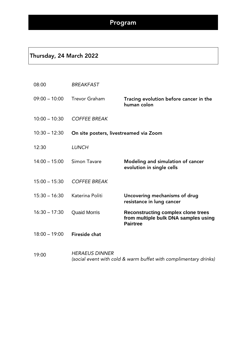#### Thursday, 24 March 2022

| 08:00           | <b>BREAKFAST</b>                       |                                                                                                      |
|-----------------|----------------------------------------|------------------------------------------------------------------------------------------------------|
| $09:00 - 10:00$ | <b>Trevor Graham</b>                   | Tracing evolution before cancer in the<br>human colon                                                |
| $10:00 - 10:30$ | <b>COFFEE BREAK</b>                    |                                                                                                      |
| $10:30 - 12:30$ | On site posters, livestreamed via Zoom |                                                                                                      |
| 12:30           | <b>LUNCH</b>                           |                                                                                                      |
| $14:00 - 15:00$ | Simon Tavare                           | Modeling and simulation of cancer<br>evolution in single cells                                       |
| $15:00 - 15:30$ | <b>COFFEE BREAK</b>                    |                                                                                                      |
| $15:30 - 16:30$ | Katerina Politi                        | Uncovering mechanisms of drug<br>resistance in lung cancer                                           |
| $16:30 - 17:30$ | <b>Quaid Morris</b>                    | <b>Reconstructing complex clone trees</b><br>from multiple bulk DNA samples using<br><b>Pairtree</b> |
| $18:00 - 19:00$ | <b>Fireside chat</b>                   |                                                                                                      |
|                 | HERAELIS DININER                       |                                                                                                      |

19:00 *HERAEUS DINNER (social event with cold & warm buffet with complimentary drinks)*